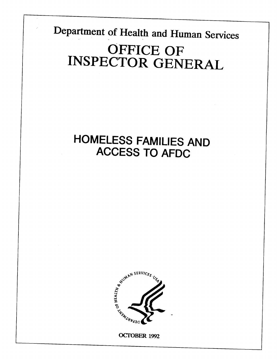**Department of Health and Human Services OFFICE OF INSPECTOR GENERAL** 

**I** 

# **HOMELESS FAMILIES AND ACCESS TO AFDC**



OCTOBER 1992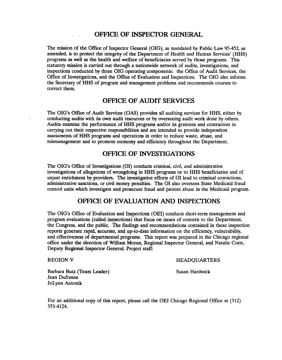#### **OFFICE OF INSPECTOR GENERAL**

The mission of the Office of Inspector General (OIG), as mandated by Public Law 95-452, as amended, is to protect the integrity of the Department of Health and Human Services' (HHS) programs as well as the health and welfare of beneficiaries served by those programs. This statutory mission is carried out through a nationwide network of audits, investigations, and inspections conducted by three OIG operating components: the Office of Audit Services, the Office of Investigations, and the Office of Evaluation and Inspections. The OIG also informs the Secretary of HHS of program and management problems and recommends courses to correct them.

### **OFFICE OF AUDIT SERVICES**

The OIG's Office of Audit Services (OAS) provides all auditing services for HHS, either by conducting audits with its own audit resources or by overseeing audit work done by others. Audits examine the performance of HHS programs and/or its grantees and contractors in carrying out their respective responsibilities and are intended to provide independent assessments of HHS programs and operations in order to reduce waste, abuse, and mismanagement and to promote economy and efficiency throughout the Department.

#### **OFFICE OF INVESTIGATIONS**

The OIG's Office of Investigations (OI) conducts criminal, civil, and administrative investigations of allegations of wrongdoing in HHS programs or to HHS beneficiaries and of unjust enrichment by providers. The investigative efforts of 01 lead to criminal convictions, administrative sanctions, or civil money penalties. The 01 also oversees State Medicaid fraud control units which investigate and prosecute fraud and patient abuse in the Medicaid program.

#### **OFFICE OF EVALUATION AND INSPECITONS**

The OIG's Office of Evaluation and Inspections (OEI) conducts short-term management and program evaluations (calIed inspections) that focus on issues of concern to the Department, the Congress, and the public. The findings and recommendations contained in these inspection reports generate rapid, accurate, and up-to-date information on the efficiency, vulnerability and effectiveness of departmental programs. This report was prepared in the Chicago regional office under the direction of William Moran, Regional Inspector General, and Natalie Coen, Deputy Regional Inspector General. Project staffi

REGION V HEADQUARTER

Barbara Butz (Team Leader) Susan Hardwick Jean Dufresne JoLynn Antonik

For an additional copy of this report, please call the OEI Chicago Regional Office at (312) 353-4124.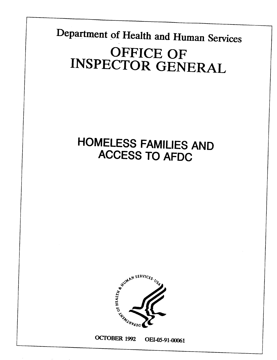Department of Health and Human Services OFFICE OF **INSPECTOR GENERAL** 

> **HOMELESS FAMILIES AND ACCESS TO AFDC**



OCTOBER 1992 OEI-05-91-00061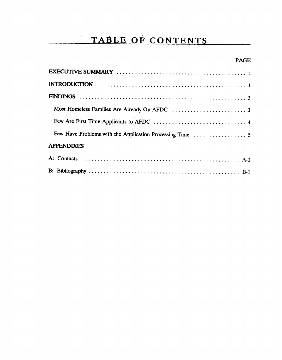# TABLE OF CONTENTS

### **PAGE**

| <b>APPENDIXES</b> |  |
|-------------------|--|
|                   |  |
|                   |  |

 $\sim$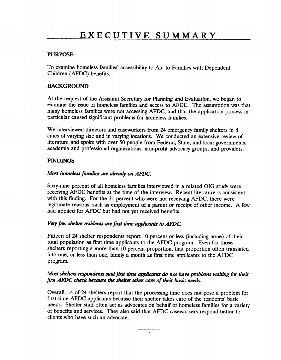#### PURPOSE

To examine homeless families' accessibility to Aid to Families with Dependent Children (AFDC) benefits.

#### BACKGROUND

At the request of the Assistant Secretary for Planning and Evaluation, we began to examine the issue of homeless families and access to AFDC. The assumption was that many homeless families were not accessing AFDC, and that the application process in particular caused significant problems for homeless families.

We interviewed directors and caseworkers from 24 emergency family shelters in 8 cities of varying size and in varying locations. We conducted an extensive review of literature and spoke with over 50 people from Federal, State, and local governments, academia and professional organizations, non-profit advocacy groups, and providers.

#### FINDINGS

#### Most homeless families are already on AFDC.

Sixty-nine percent of all homeless families interviewed in a related OIG study were receiving AFDC benefits at the time of the interview. Recent literature is consistent with this finding. For the 31 percent who were not receiving AFDC, there were legitimate reasons, such as employment of a parent or receipt of other income. A few had applied for AFDC but had not yet received benefits.

#### Very few shelter residents are first time applicants to AFDC.

Fifteen of 24 shelter respondents report 10 percent or less (including none) of their total population as first time applicants to the AFDC program. Even for those shelters reporting a more than 10 percent proportion, that proportion often translated into one, or less than one, family a month as first time applicants to the AFDC program.

#### Most shelters respondents said first time applicants do not have problems waiting for their first AFDC check because the shelter takes care of their basic needs.

Overall, 14 of 24 shelters report that the processing time does not pose a problem for first time AFDC applicants because their shelter takes care of the residents' basic needs. Shelter staff often act as advocates on behalf of homeless families for a variety of benefits and services. They also said that AFDC caseworkers respond better to clients who have such an advocate.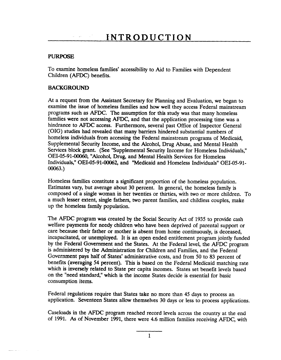#### PURPOSE

To examine homeless families' accessibility to Aid to Families with Dependent Children (AFDC) benefits.

#### BACKGROUND

 $\mathcal{A} = \{ \mathcal{A} \} \cup \{ \mathcal{A} \}$  .

At a request from the Assistant Secretary for Planning and Evaluation, we began to examine the issue of homeless families and how well they access Federal mainstream programs such as AFDC. The assumption for this study was that many homeless families were not accessing AFDC, and that the application processing time was a hindrance to AFDC access. Furthermore, several past Office of Inspector General (OIG) studies had revealed that many barriers hindered substantial numbers of homeless individuals from accessing the Federal mainstream programs of Medicaid, Supplemental Security Income, and the Alcohol, Drug Abuse, and Mental Health Services block grant. (See "Supplemental Security Income for Homeless Individuals," 0EI-05-91-OO060, "Alcohol, Drug, and Mental Health Services for Homeless Individuals," OEI-05-91-00064 and "Medicaid and Homeless Individuals" OEI-05-91- OOO63.)

Homeless families constitute a significant proportion of the homeless population. Estimates vary, but average about 30 percent. In general, the homeless family is composed of a single woman in her twenties or thirties, with two or more children. To a much lesser extent, single fathers, two parent families, and childless couples, make up the homeless family population.

The AFDC program was created by the Social Security Act of 1935 to provide cash welfare payments for needy children who have been deprived of parental support or care because their father or mother is absent from home continuously, is deceased, incapacitated, or unemployed. It is an open ended entitlement program jointly funded by the Federal Government and the States. At the Federal level, the AFDC program is administered by the Administration for Children and Families, and the Federal Government pays half of States' administrative costs, and from 50 to 83 percent of benefits (averaging 54 percent). This is based on the Federal Medicaid matching rate which is inversely related to State per capita incomes. States set benefit levels based on the "need standard," which is the income States decide is essential for basic consumption items.

Federal regulations require that States take no more than 45 days to process an application. Seventeen States allow themselves 30 days or less to process applications.

Caseloads in the AFDC program reached record levels across the country at the end of 1991. As of November 1991, there were 4.6 million families receiving AFDC, with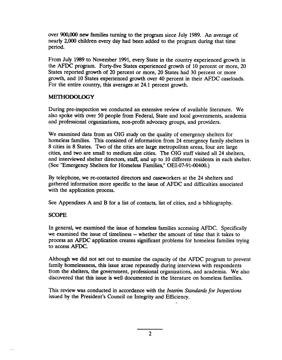over 900,000 new families -turning to the program since July 1989. An average of nearly 2,000 children every day had been added to the program during that time period.

From July 1989 to November 1991, every State in the country experienced growth in the AFDC program. Forty-five States experienced growth of 10 percent or more, 20 States reported growth of 20 percent or more, 20 States had 30 percent or more growth, and 10 States experienced growth over 40 percent in their AFDC caseloads. For the entire country, this averages at 24.1 percent growth.

#### **METHODOLOGY**

During pre-inspection we conducted an extensive review of available literature. We also spoke with over 50 people from Federal, State and local governments, academia and professional organizations, non-profit advocacy groups, and providers.

We examined data from an OIG study on the quality of emergency shelters for homeless families. This consisted of information from 24 emergency family shelters in 8 cities in 8 States. Two of the cities are large metropolitan areas, four are large cities, and two are small to medium size cities. The OIG staff visited all 24 shelters, and interviewed shelter directors, staff, and up to 10 different residents in each shelter. (See "Emergency Shelters for Homeless Families," 0EI-07-91-O0400.)

By telephone, we re-contacted directors and caseworkers at the 24 shelters and gathered information more specific to the issue of AFDC and difficulties associated with the application process.

See Appendixes A and B for a list of contacts, list of cities, and a bibliography.

#### SCOPE

In general, we examined the issue of homeless families accessing AFDC. Specifically we examined the issue of timeliness -- whether the amount of time that it takes to process an AFDC application creates significant problems for homeless families trying to access AFDC.

Although we did not set out to examine the capacity of the AFDC program to prevent family homelessness, this issue arose repeatedly during interviews with respondents from the shelters, the government, professional organizations, and academia. We also discovered that this issue is well documented in the literature on homeless families.

This review was conducted in accordance with the *Interim Standards for Inspections*  issued by the President's Council on Integrity and Efficiency.

2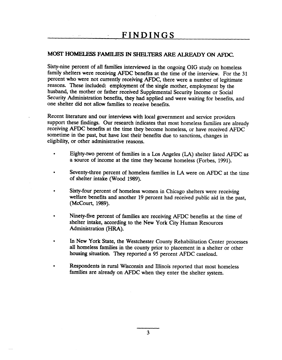#### MOST HOMELESS FAMILIES IN SHELTERS ARE ALREADY ON AFDC.

Sixty-nine percent of all families interviewed in the ongoing OIG study on homeless family shelters were receiving AFDC benefits at the time of the interview. For the 31 percent who were not currently receiving AFDC, there were a number of legitimate reasons. These included: employment of the single mother, employment by the husband, the mother or father received Supplemental Security Income or Social Security Administration benefits, they had applied and were waiting for benefits, and one shelter did not allow families to receive benefits.

Recent literature and our interviews with local government and service providers support these findings. Our research indicates that most homeless families are already receiving AFDC benefits at the time they become homeless, or have received AFDC sometime in the past, but have lost their benefits due to sanctions, changes in eligibility, or other administrative reasons.

- Eighty-two percent of families in a Los Angeles (LA) shelter listed AFDC as a source of income at the time they became homeless (Forbes, 1991).
- Seventy-three percent of homeless families in LA were on AFDC at the time of shelter intake (Wood 1989).
- Sixty-four percent of homeless women in Chicago shelters were receiving welfare benefits and another 19 percent had received public aid in the past, **(MCCOUII,** 1989).
- Ninety-five percent of families are receiving AFDC benefits at the time of shelter intake, according to the New York City Human Resources Administration (HRA).
- In New York State, the Westchester County Rehabilitation Center processes all homeless families in the county prior to placement in a shelter or other housing situation. They reported a 95 percent AFDC caseload.
- Respondents in rural Wisconsin and Illinois reported that most homeless families are already on AFDC when they enter the shelter system.

3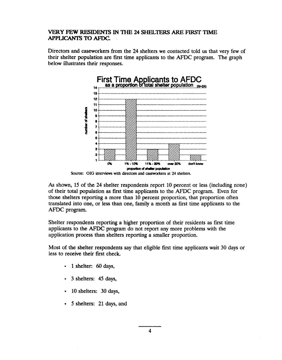#### VERY FEW RESIDENTS IN THE 24 SHELTERS ARE FIRST TIME **APPLICANTS TO AFDC.**

Directors and caseworkers from the 24 shelters we contacted told us that very few of their shelter population are first time applicants to the AFDC program. The graph below illustrates their responses.



Source: OIG interviews with directors and caseworkers at 24 shelters.

As shown, 15 of the 24 shelter respondents report 10 percent or less (including none) of their total population as first time applicants to the AFDC program. Even for those shelters reporting a more than 10 percent proportion, that proportion often translated into one, or less than one, family a month as first time applicants to the AFDC program.

Shelter respondents reporting a higher proportion of their residents as first time applicants to the AFDC program do not report any more problems with the application process than shelters reporting a smaller proportion.

Most of the shelter respondents say that eligible first time applicants wait 30 days or less to receive their first check.

- 1 shelter:  $60 \text{ days}$ ,
- 3 shelters: 45 days,
- 10 shelters: 30 days,
- 5 shelters: 21 days, and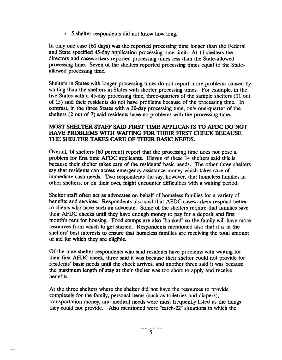� 5 shelter respondents did not know how long.

In only one case (60 days) was the reported processing time longer than the Federal and State specified 45-day application processing time limit. At 11 shelters the directors and caseworkers reported processing times less than the State-allowed processing time. Seven of the shelters reported processing times equal to the Stateallowed processing time.

Shelters in States with longer processing times do not report more problems caused by waiting than the shelters in States with shorter processing times. For example, in the five States with a 45-day processing time, three-quarters of the sample shelters (11 out of 15) said their residents do not have problems because of the processing time. In contrast, in the three States with a 30-day processing time, only one-quarter of the shelters (2 out of 7) said residents have no problems with the processing time.

#### MOST SHELTER SI'AFF SAID FIRST TIME APPLICANTS TO AFDC DO NOT HAVE PROBLEMS WITH WAITING FOR THEIR FIRST CHECK BECAUSE THE SHELTER TAKES CARE OF THEIR BASIC NEEDS.

Overall, 14 shelters (60 percent) report that the processing time does not pose a problem for first time AFDC applicants. Eleven of these 14 shelters said this is because their shelter takes care of the residents' basic needs. The other three shelters say that residents can access emergency assistance money which takes care of immediate cash needs. Two respondents did say, however, that homeless families in other shelters, or on their own, might encounter difficulties with a waiting period.

Shelter staff often act as advocates on behalf of homeless families for a variety of benefits and services. Respondents also said that AFDC caseworkers respond better to clients who have such an advocate. Some of the shelters require that families save their AFDC checks until they have enough money to pay for a deposit and first month's rent for housing. Food stamps are also "banked" so the family will have more resources from which to get started. Respondents mentioned also that it is in the shelters' best interests to ensure that homeless families are receiving the total amount of aid for which they are eligible.

Of the nine shelter respondents who said residents have problems with waiting for their first AFDC check, three said it was because their shelter could not provide for residents' basic needs until the check arrives, and another three said it was because the maximum length of stay at their shelter was too short to apply and receive benefits.

At the three shelters where the shelter did not have the resources to provide completely for the family, personal items (such as toiletries and diapers), transportation money, and medical needs were most frequently listed as the things they could not provide. Also mentioned were "catch-22" situations in which the

5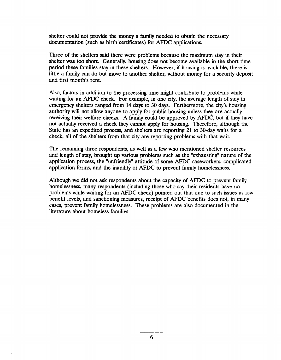shelter could not provide the money a family needed to obtain the necessary documentation (such as birth certificates) for AFDC applications.

Three of the shelters said there were problems because the maximum stay in their shelter was too short. Generally, housing does not become available in the short time period these families stay in these shelters. However, if housing is available, there is little a family can do but move to another shelter, without money for a security deposit and first month's rent.

Also, factors in addition to the processing time might contribute to problems while waiting for an AFDC check. For example, in one city, the average length of stay in emergency shelters ranged from 14 days to 30 days. Furthermore, the city's housing authority will not allow anyone to apply for public housing unless they are actually receiving their welfare checks. A family could be approved by AFDC, but if they have not actually received a check they cannot apply for housing. Therefore, although the State has an expedited process, and shelters are reporting 21 to 30-day waits for a check, all of the shelters from that city are reporting problems with that wait.

The remaining three respondents, as well as a few who mentioned shelter resources and length of stay, brought up various problems such as the "exhausting" nature of the application process, the "unfriendly" attitude of some AFDC caseworkers, complicated application forms, and the inability of AFDC to prevent family hopelessness.

Although we did not ask respondents about the capacity of AFDC to prevent family homelessness, many respondents (including those who say their residents have no problems while waiting for an AFDC check) pointed out that due to such issues as low benefit levels, and sanctioning measures, receipt of AFDC benefits does not, in many cases, prevent family homelessness. These problems are also documented in the literature about homeless families.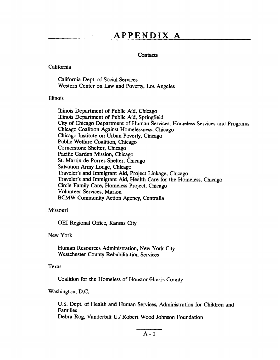# **-APPENDIX A**

#### **contacts**

#### California

California Dept. of Social Services Western Center on Law and Poverty, Los Angeles

#### Illinois

Illinois Department of Public Aid, Chicago Illinois Department of Public Aid, Springfield City of Chicago Department of Human Services, Homeless Services and Programs Chicago Coalition Against Homelessness, Chicago Chicago Institute on Urban Poverty, Chicago Public Welfare Coalition, Chicago Cornerstone Shelter, Chicago Pacific Garden Mission, Chicago St. Martin de Porres Shelter, Chicago Salvation Army Lodge, Chicago Traveler's and Immigrant Aid, Project Linkage, Chicago Traveler's and Immigrant Aid, Health Care for the Homeless, Chicago Circle Family Care, Homeless Project, Chicago Volunteer Services, Marion BCMW Community Action Agency, Centralia

#### Missouri

OEI Regional Office, Kansas City

#### New York

Human Resources Administration, New York City Westchester County Rehabilitation Services

#### Texas

Coalition for the Homeless of Houston/Harris County

Washington, D.C.

U.S. Dept. of Health and Human Services, Administration for Children and Families Debra Rog, Vanderbilt U./ Robert Wood Johnson Foundation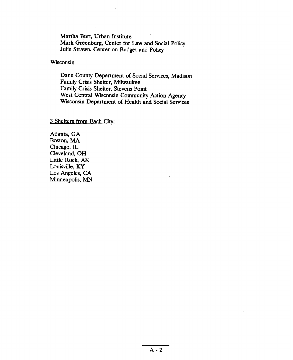Martha Burt, Urban Institute Mark Greenburg, Center for Law and Social Policy Julie Strawn, Center on Budget and Policy

dance County Department of Social Services, Madison Services, Madison Services, Madison Services, Madison Services, Madison Services, Madison Services, Madison Services, Madison Services, Madison Services, Madison Services

Dane County Department of Social Family Crisis Shelter, Milwaukee Family Crisis Shelter, Stevens Point<br>West Central Wisconsin Community Action Agency Wisconsin Department of Health and Social Services

3 Shelters from Each City:

Atlanta, GA Boston, MA Chicago, IL Cleveland, OH Little Rock, AK Louisville, KY Los Angeles, CA Minneapolis, MN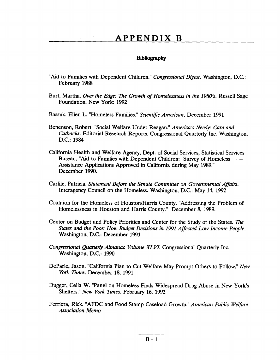## **APPENDIX B**

#### Bibliography

- "Aid to Families with Dependent Children." *Congressional Digest.* Washington, D.C.: February 1988
- Burt, Martha. *Over the Edge: The Growth of Homelessness in the 1980's*. Russell Sage Foundation. New York: 1992
- Bassuk, Ellen L. "Homeless Families." *Scientific American.* December 1991
- Benenson, Robert. "Social Welfare Under Reagan." *America's Needy: Care and Cutbacks.* Editorial Research Reports. Congressional Quarterly Inc. Washington, D.C.: 1984
- California Health and Welfare Agency, Dept. of Social Services, Statistical Sexvices Bureau. "Aid to Families with Dependent Children: Survey of Homeless – Assistance Applications Approved in California during May 1989." December 1990.
- Carlile, Patricia. *Statement Before the Senate Committee on Governmental Affain.*  Interagency Council on the Homeless. Washington, D.C.: May 14, 1992
- Coalition for the Homeless of Houston/Harris County. "Addressing the Problem of Homelessness in Houston and Harris County." December 8, 1989.
- Center on Budget and Policy Priorities and Center for the Study of the States. The States and the Poor: How Budget Decisions in 1991 Affected Low Income People. Washington, D.C.: December 1991
- *Congressional Quarterly Almanac Volume XLVI.* Congressional Quarterly Inc. Washington, D.C.: 1990
- DeParle, Jason. "California Plan to Cut Welfare May Prompt Others to Follow." New York Times. December 18, 1991
- Dugger, Celia W. "Panel on Homeless Finds Widespread Drug Abuse in New York's Shelters." New York Times. February 16, 1992
- Ferriera, Rick. "AFDC and Food Stamp Caseload Growth." *American Public Welfare Association Memo*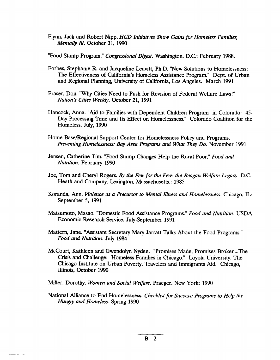Flynn, Jack and Robert Nipp. *HUD Initiatives Show* Gains *for Homeless Families, MentaUy IV.* October 31, 1990

"Food Stamp Program." *Congressional Digest.* Washington, D.C.: February 1988.

- Forbes, Stephanie R. and Jacqueline Leavitt, Ph.D. "New Solutions to Homelessness: The Effectiveness of California's Homeless Assistance Program." Dept. of Urban and Regional Planning, University of California, Los Angeles. March 1991
- Fraser, Don. "Why Cities Need to Push for Revision of Federal Welfare Laws!" *Nation's Cities Weekly.* October 21, 1991
- Hancock, Anna. "Aid to Families with Dependent Children Program in Colorado: 45- Day Processing Time and Its Effect on Homelessness." Colorado Coalition for the Homeless. July, 1990
- Home Base/Regional Support Center for Homelessness Policy and Programs. *Preventing Homelessness: Bay Area Programs and What They Do. November 1991*
- Jensen, Catherine Tim. "Food Stamp Changes Help the Rural Poor." *Food and Nutrition.* February 1990
- Joe, Tom and Cheryl Rogers. By the Few for the Few: the Reagan Welfare Legacy. D.C. Heath and Company. Lexington, Massachusetts.: 1985
- Koranda, Ann. *Violence as a Precursor to Mental Illness and Homelessness*. Chicago, IL: September 5, 1991
- Matsumoto, Masao. "Domestic Food Assistance Programs." *Food and Nutrition.* USDA Economic Research Service. July-September 1991
- Mattem, Jane. "Assistant Secretary Mary Jarratt Talks About the Food Programs." *Food and Nutrition.* July 1984
- McCourt, Kathleen and Gwendolyn Nyden. "Promises Made, Promises Broken...The Crisis and Challenge: Homeless Families in Chicago." Loyola University. The Chicago Institute on Urban Poverty. Travelers and Immigrants Aid. Chicago, Illinois, October 1990

Miller, Dorothy. Women and Social Welfare. Praeger. New York: 1990

National Alliance to End Homelessness. *Checklist for Success: Programs to Help the Hungy and Homeless.* Spring 1990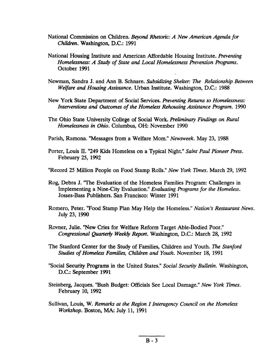- National Commission on Children. Beyond Rhetoric: A New American Agenda for *Chikiren.* Washington, D.C.: 1991
- National Housing Institute and American Affordable Housing Institute. *Preventing*  Homelessness: A Study of State and Local Homelessness Prevention Programs. October 1991
- Newman, Sandra J. and Ann B. Schnare. *Subsidizing Shelter: The Relationship Between Welfare and Housing Assistance.* Urban Institute. Washington, D.C.: 1988
- New York State Department of Social Services. *Preventing Returns to Homelessness: Interventions and Outcomes of the Homeless Rehousing Assistance Program.* 1990
- The Ohio State University College of Social Work. *Preliminary Findings on Rural Home/essness in Ohio.* Columbus, OH: November 1990
- Parish, Ramona. "Messages from a Welfare Mom." *Newsweek.* May 23, 1988
- Porter, Louis II. "249 Kids Homeless on a Typical Night." *Saint Paul Pioneer Press.*  February 25, 1992
- "Record 25 Million People on Food Stamp Rolls." New *York ZImes.* March 29, 1992
- Rog, Debra J. 'The Evaluation of the Homeless Families Program: Challenges in Implementing a Nine-City Evaluation." *Evaluating Programs for the Homeless.*  Josses-Bass Publishers. San Francisco: Winter 1991
- Romero, Peter. "Food Stamp Plan May Help the Homeless." *Nation's Restaurant News.*  July 23, 1990
- Rovner, Julie. "New Cries for Welfare Reform Target Able-Bodied Poor." *Congressional Quarterly Weekly Report.* Washington, D.C.: March 28, 1992
- The Stanford Center for the Study of Families, Children and Youth. The *Stanford Studies of Homeiess Families, Children and Youth.* November 18, 1991
- "Social Security Programs in the United States." *Social Security Bulletin.* Washington, D.C.: September 1991
- Steinberg, Jacques. "Bush Budget: Officials See Local Damage." New *York Times.*  February 10, 1992
- Sullivan, Louis, W. *Remarks at the Region I Interagency Council on the Homeless Workshop.* Boston, MA: July 11, 1991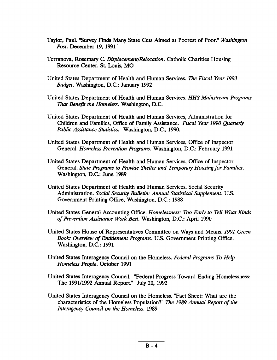- Taylor, Paul. "Survey Finds Many State Cuts Aimed at Poorest of Poor." Washington Post. December 19, 1991
- Terranova, Rosemary C. Displacement/Relocation. Catholic Charities Housing Resource Center. St. Louis, MO
- United States Department of Health and Human Services. The Fiscal Year 1993 Budget. Washington, D.C.: January 1992
- United States Department of Health and Human Services. HHS Mainstream Programs That Benefit the Homeless. Washington, D.C.
- United States Department of Health and Human Services, Administration for Children and Families, Office of Family Assistance. Fiscal Year 1990 Quarterly Public Assistance Statistics. Washington, D.C., 1990.
- United States Department of Health and Human Services, Office of Inspector General. Homeless Prevention Programs. Washington, D.C.: February 1991
- United States Department of Health and Human Services, Office of Inspector General. State Programs to Provide Shelter and Temporary Housing for Families. Washington, D.C.: June 1989
- United States Department of Health and Human Services, Social Security Administration. Social Security Bulletin: Annual Statistical Supplement. U.S. Government Printing Office, Washington, D.C.: 1988
- United States General Accounting Office. Homelessness: Too Early to Tell What Kinds of Prevention Assistance Work Best. Washington, D.C.: April 1990
- United States House of Representatives Committee on Ways and Means. 1991 Green Book: Overview of Entitlement Programs. U.S. Government Printing Office. Washington, D.C.: 1991
- United States Interagency Council on the Homeless. Federal Programs To Help Homeless People. October 1991
- United States Interagency Council. "Federal Progress Toward Ending Homelessness: The 1991/1992 Annual Report." July 20, 1992
- United States Interagency Council on the Homeless. "Fact Sheet: What are the characteristics of the Homeless Population?" The 1989 Annual Report of the Interagency Council on the Homeless. 1989